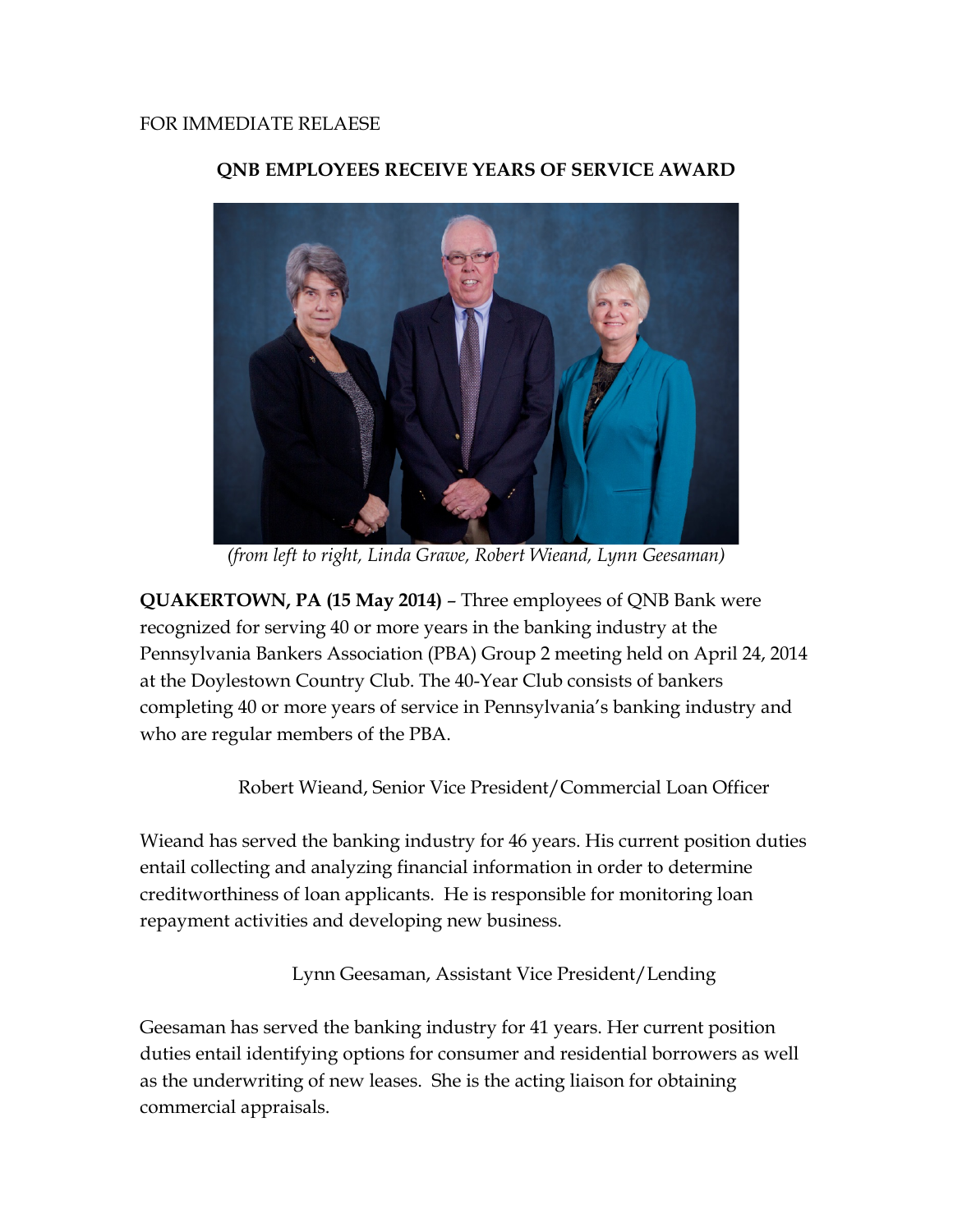

## **QNB EMPLOYEES RECEIVE YEARS OF SERVICE AWARD**

*(from left to right, Linda Grawe, Robert Wieand, Lynn Geesaman)*

**QUAKERTOWN, PA (15 May 2014)** – Three employees of QNB Bank were recognized for serving 40 or more years in the banking industry at the Pennsylvania Bankers Association (PBA) Group 2 meeting held on April 24, 2014 at the Doylestown Country Club. The 40-Year Club consists of bankers completing 40 or more years of service in Pennsylvania's banking industry and who are regular members of the PBA.

Robert Wieand, Senior Vice President/Commercial Loan Officer

Wieand has served the banking industry for 46 years. His current position duties entail collecting and analyzing financial information in order to determine creditworthiness of loan applicants. He is responsible for monitoring loan repayment activities and developing new business.

Lynn Geesaman, Assistant Vice President/Lending

Geesaman has served the banking industry for 41 years. Her current position duties entail identifying options for consumer and residential borrowers as well as the underwriting of new leases. She is the acting liaison for obtaining commercial appraisals.